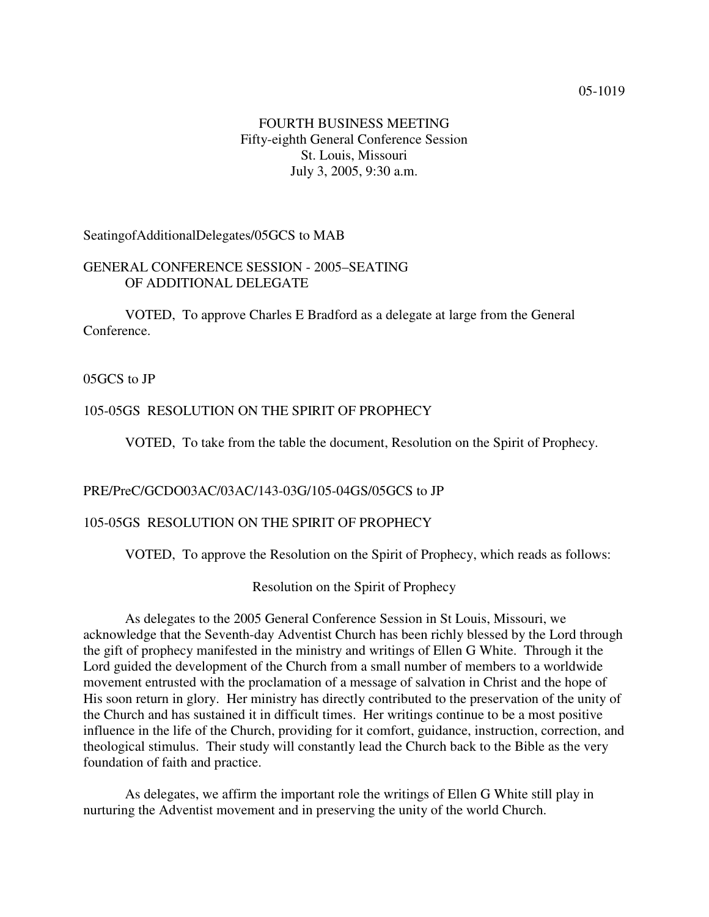### FOURTH BUSINESS MEETING Fifty-eighth General Conference Session St. Louis, Missouri July 3, 2005, 9:30 a.m.

SeatingofAdditionalDelegates/05GCS to MAB

#### GENERAL CONFERENCE SESSION - 2005–SEATING OF ADDITIONAL DELEGATE

VOTED, To approve Charles E Bradford as a delegate at large from the General Conference.

05GCS to JP

# 105-05GS RESOLUTION ON THE SPIRIT OF PROPHECY

VOTED, To take from the table the document, Resolution on the Spirit of Prophecy.

#### PRE/PreC/GCDO03AC/03AC/143-03G/105-04GS/05GCS to JP

#### 105-05GS RESOLUTION ON THE SPIRIT OF PROPHECY

VOTED, To approve the Resolution on the Spirit of Prophecy, which reads as follows:

Resolution on the Spirit of Prophecy

As delegates to the 2005 General Conference Session in St Louis, Missouri, we acknowledge that the Seventh-day Adventist Church has been richly blessed by the Lord through the gift of prophecy manifested in the ministry and writings of Ellen G White. Through it the Lord guided the development of the Church from a small number of members to a worldwide movement entrusted with the proclamation of a message of salvation in Christ and the hope of His soon return in glory. Her ministry has directly contributed to the preservation of the unity of the Church and has sustained it in difficult times. Her writings continue to be a most positive influence in the life of the Church, providing for it comfort, guidance, instruction, correction, and theological stimulus. Their study will constantly lead the Church back to the Bible as the very foundation of faith and practice.

As delegates, we affirm the important role the writings of Ellen G White still play in nurturing the Adventist movement and in preserving the unity of the world Church.